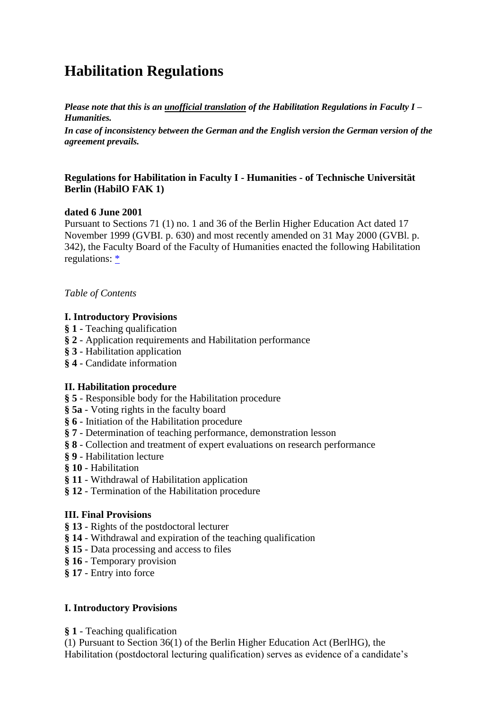# **Habilitation Regulations**

*Please note that this is an unofficial translation of the Habilitation Regulations in Faculty I – Humanities.*

*In case of inconsistency between the German and the English version the German version of the agreement prevails.*

#### **Regulations for Habilitation in Faculty I - Humanities - of Technische Universität Berlin (HabilO FAK 1)**

#### **dated 6 June 2001**

Pursuant to Sections 71 (1) no. 1 and 36 of the Berlin Higher Education Act dated 17 November 1999 (GVBI. p. 630) and most recently amended on 31 May 2000 (GVBl. p. 342), the Faculty Board of the Faculty of Humanities enacted the following Habilitation regulations:  $*$ 

*Table of Contents*

## **I. Introductory Provisions**

- **§ 1** Teaching qualification
- **§ 2** Application requirements and Habilitation performance
- **§ 3** Habilitation application
- **§ 4** Candidate information

## **II. Habilitation procedure**

- **§ 5** Responsible body for the Habilitation procedure
- **§ 5a** Voting rights in the faculty board
- **§ 6** Initiation of the Habilitation procedure
- **§ 7** Determination of teaching performance, demonstration lesson
- **§ 8** Collection and treatment of expert evaluations on research performance
- **§ 9** Habilitation lecture
- **§ 10** Habilitation
- **§ 11** Withdrawal of Habilitation application
- **§ 12** Termination of the Habilitation procedure

## **III. Final Provisions**

- **§ 13** Rights of the postdoctoral lecturer
- **§ 14** Withdrawal and expiration of the teaching qualification
- **§ 15** Data processing and access to files
- **§ 16** Temporary provision
- **§ 17** Entry into force

## **I. Introductory Provisions**

**§ 1** - Teaching qualification

(1) Pursuant to Section 36(1) of the Berlin Higher Education Act (BerlHG), the Habilitation (postdoctoral lecturing qualification) serves as evidence of a candidate's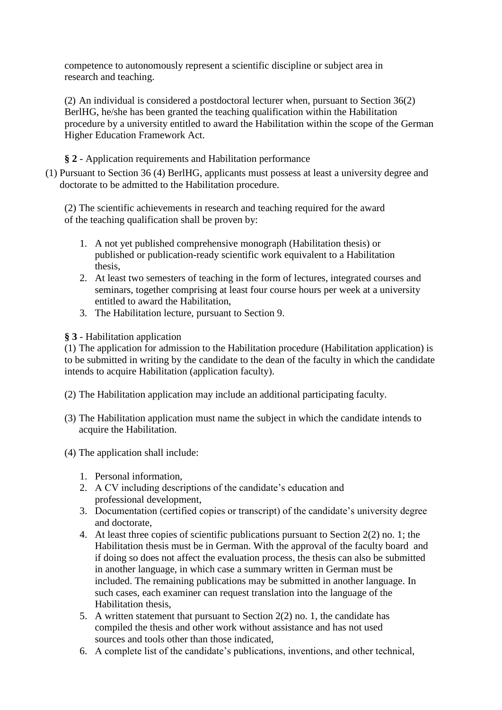competence to autonomously represent a scientific discipline or subject area in research and teaching.

(2) An individual is considered a postdoctoral lecturer when, pursuant to Section 36(2) BerlHG, he/she has been granted the teaching qualification within the Habilitation procedure by a university entitled to award the Habilitation within the scope of the German Higher Education Framework Act.

# **§ 2** - Application requirements and Habilitation performance

(1) Pursuant to Section 36 (4) BerlHG, applicants must possess at least a university degree and doctorate to be admitted to the Habilitation procedure.

(2) The scientific achievements in research and teaching required for the award of the teaching qualification shall be proven by:

- 1. A not yet published comprehensive monograph (Habilitation thesis) or published or publication-ready scientific work equivalent to a Habilitation thesis,
- 2. At least two semesters of teaching in the form of lectures, integrated courses and seminars, together comprising at least four course hours per week at a university entitled to award the Habilitation,
- 3. The Habilitation lecture, pursuant to Section 9.

#### **§ 3** - Habilitation application

(1) The application for admission to the Habilitation procedure (Habilitation application) is to be submitted in writing by the candidate to the dean of the faculty in which the candidate intends to acquire Habilitation (application faculty).

- (2) The Habilitation application may include an additional participating faculty.
- (3) The Habilitation application must name the subject in which the candidate intends to acquire the Habilitation.
- (4) The application shall include:
	- 1. Personal information,
	- 2. A CV including descriptions of the candidate's education and professional development,
	- 3. Documentation (certified copies or transcript) of the candidate's university degree and doctorate,
	- 4. At least three copies of scientific publications pursuant to Section 2(2) no. 1; the Habilitation thesis must be in German. With the approval of the faculty board and if doing so does not affect the evaluation process, the thesis can also be submitted in another language, in which case a summary written in German must be included. The remaining publications may be submitted in another language. In such cases, each examiner can request translation into the language of the Habilitation thesis,
	- 5. A written statement that pursuant to Section 2(2) no. 1, the candidate has compiled the thesis and other work without assistance and has not used sources and tools other than those indicated,
	- 6. A complete list of the candidate's publications, inventions, and other technical,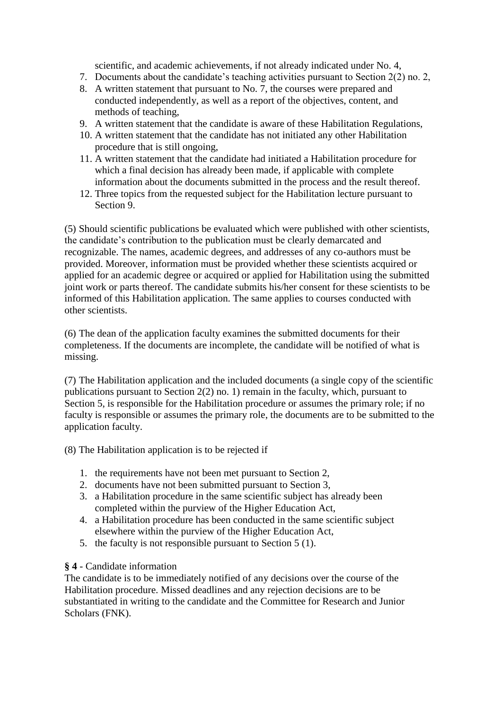scientific, and academic achievements, if not already indicated under No. 4,

- 7. Documents about the candidate's teaching activities pursuant to Section 2(2) no. 2,
- 8. A written statement that pursuant to No. 7, the courses were prepared and conducted independently, as well as a report of the objectives, content, and methods of teaching,
- 9. A written statement that the candidate is aware of these Habilitation Regulations,
- 10. A written statement that the candidate has not initiated any other Habilitation procedure that is still ongoing,
- 11. A written statement that the candidate had initiated a Habilitation procedure for which a final decision has already been made, if applicable with complete information about the documents submitted in the process and the result thereof.
- 12. Three topics from the requested subject for the Habilitation lecture pursuant to Section 9.

(5) Should scientific publications be evaluated which were published with other scientists, the candidate's contribution to the publication must be clearly demarcated and recognizable. The names, academic degrees, and addresses of any co-authors must be provided. Moreover, information must be provided whether these scientists acquired or applied for an academic degree or acquired or applied for Habilitation using the submitted joint work or parts thereof. The candidate submits his/her consent for these scientists to be informed of this Habilitation application. The same applies to courses conducted with other scientists.

(6) The dean of the application faculty examines the submitted documents for their completeness. If the documents are incomplete, the candidate will be notified of what is missing.

(7) The Habilitation application and the included documents (a single copy of the scientific publications pursuant to Section 2(2) no. 1) remain in the faculty, which, pursuant to Section 5, is responsible for the Habilitation procedure or assumes the primary role; if no faculty is responsible or assumes the primary role, the documents are to be submitted to the application faculty.

(8) The Habilitation application is to be rejected if

- 1. the requirements have not been met pursuant to Section 2,
- 2. documents have not been submitted pursuant to Section 3,
- 3. a Habilitation procedure in the same scientific subject has already been completed within the purview of the Higher Education Act,
- 4. a Habilitation procedure has been conducted in the same scientific subject elsewhere within the purview of the Higher Education Act,
- 5. the faculty is not responsible pursuant to Section 5 (1).

## **§ 4** - Candidate information

The candidate is to be immediately notified of any decisions over the course of the Habilitation procedure. Missed deadlines and any rejection decisions are to be substantiated in writing to the candidate and the Committee for Research and Junior Scholars (FNK).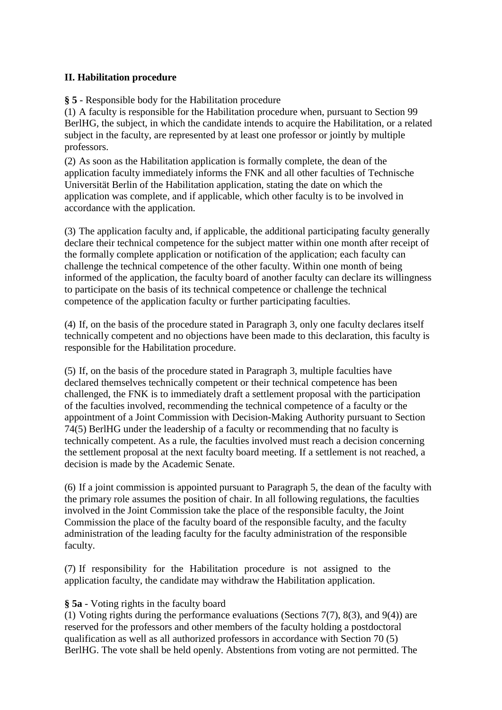## **II. Habilitation procedure**

**§ 5** - Responsible body for the Habilitation procedure

(1) A faculty is responsible for the Habilitation procedure when, pursuant to Section 99 BerlHG, the subject, in which the candidate intends to acquire the Habilitation, or a related subject in the faculty, are represented by at least one professor or jointly by multiple professors.

(2) As soon as the Habilitation application is formally complete, the dean of the application faculty immediately informs the FNK and all other faculties of Technische Universität Berlin of the Habilitation application, stating the date on which the application was complete, and if applicable, which other faculty is to be involved in accordance with the application.

(3) The application faculty and, if applicable, the additional participating faculty generally declare their technical competence for the subject matter within one month after receipt of the formally complete application or notification of the application; each faculty can challenge the technical competence of the other faculty. Within one month of being informed of the application, the faculty board of another faculty can declare its willingness to participate on the basis of its technical competence or challenge the technical competence of the application faculty or further participating faculties.

(4) If, on the basis of the procedure stated in Paragraph 3, only one faculty declares itself technically competent and no objections have been made to this declaration, this faculty is responsible for the Habilitation procedure.

(5) If, on the basis of the procedure stated in Paragraph 3, multiple faculties have declared themselves technically competent or their technical competence has been challenged, the FNK is to immediately draft a settlement proposal with the participation of the faculties involved, recommending the technical competence of a faculty or the appointment of a Joint Commission with Decision-Making Authority pursuant to Section 74(5) BerlHG under the leadership of a faculty or recommending that no faculty is technically competent. As a rule, the faculties involved must reach a decision concerning the settlement proposal at the next faculty board meeting. If a settlement is not reached, a decision is made by the Academic Senate.

(6) If a joint commission is appointed pursuant to Paragraph 5, the dean of the faculty with the primary role assumes the position of chair. In all following regulations, the faculties involved in the Joint Commission take the place of the responsible faculty, the Joint Commission the place of the faculty board of the responsible faculty, and the faculty administration of the leading faculty for the faculty administration of the responsible faculty.

(7) If responsibility for the Habilitation procedure is not assigned to the application faculty, the candidate may withdraw the Habilitation application.

## **§ 5a** - Voting rights in the faculty board

(1) Voting rights during the performance evaluations (Sections 7(7), 8(3), and 9(4)) are reserved for the professors and other members of the faculty holding a postdoctoral qualification as well as all authorized professors in accordance with Section 70 (5) BerlHG. The vote shall be held openly. Abstentions from voting are not permitted. The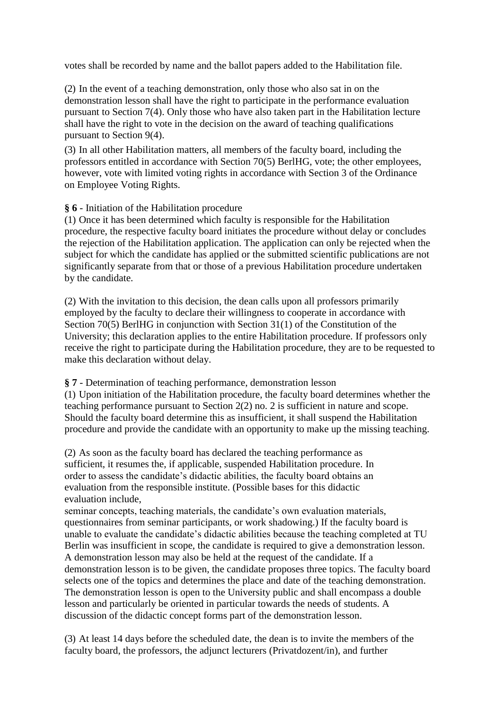votes shall be recorded by name and the ballot papers added to the Habilitation file.

(2) In the event of a teaching demonstration, only those who also sat in on the demonstration lesson shall have the right to participate in the performance evaluation pursuant to Section 7(4). Only those who have also taken part in the Habilitation lecture shall have the right to vote in the decision on the award of teaching qualifications pursuant to Section 9(4).

(3) In all other Habilitation matters, all members of the faculty board, including the professors entitled in accordance with Section 70(5) BerlHG, vote; the other employees, however, vote with limited voting rights in accordance with Section 3 of the Ordinance on Employee Voting Rights.

**§ 6** - Initiation of the Habilitation procedure

(1) Once it has been determined which faculty is responsible for the Habilitation procedure, the respective faculty board initiates the procedure without delay or concludes the rejection of the Habilitation application. The application can only be rejected when the subject for which the candidate has applied or the submitted scientific publications are not significantly separate from that or those of a previous Habilitation procedure undertaken by the candidate.

(2) With the invitation to this decision, the dean calls upon all professors primarily employed by the faculty to declare their willingness to cooperate in accordance with Section 70(5) BerlHG in conjunction with Section 31(1) of the Constitution of the University; this declaration applies to the entire Habilitation procedure. If professors only receive the right to participate during the Habilitation procedure, they are to be requested to make this declaration without delay.

**§ 7** - Determination of teaching performance, demonstration lesson

(1) Upon initiation of the Habilitation procedure, the faculty board determines whether the teaching performance pursuant to Section 2(2) no. 2 is sufficient in nature and scope. Should the faculty board determine this as insufficient, it shall suspend the Habilitation procedure and provide the candidate with an opportunity to make up the missing teaching.

(2) As soon as the faculty board has declared the teaching performance as sufficient, it resumes the, if applicable, suspended Habilitation procedure. In order to assess the candidate's didactic abilities, the faculty board obtains an evaluation from the responsible institute. (Possible bases for this didactic evaluation include,

seminar concepts, teaching materials, the candidate's own evaluation materials, questionnaires from seminar participants, or work shadowing.) If the faculty board is unable to evaluate the candidate's didactic abilities because the teaching completed at TU Berlin was insufficient in scope, the candidate is required to give a demonstration lesson. A demonstration lesson may also be held at the request of the candidate. If a demonstration lesson is to be given, the candidate proposes three topics. The faculty board selects one of the topics and determines the place and date of the teaching demonstration. The demonstration lesson is open to the University public and shall encompass a double lesson and particularly be oriented in particular towards the needs of students. A discussion of the didactic concept forms part of the demonstration lesson.

(3) At least 14 days before the scheduled date, the dean is to invite the members of the faculty board, the professors, the adjunct lecturers (Privatdozent/in), and further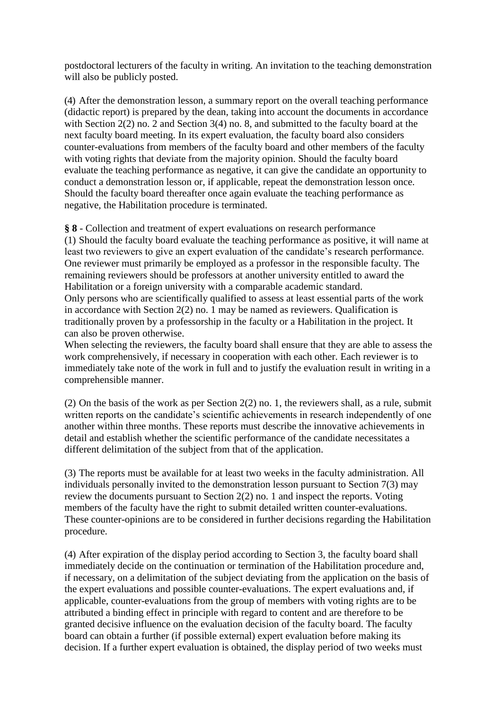postdoctoral lecturers of the faculty in writing. An invitation to the teaching demonstration will also be publicly posted.

(4) After the demonstration lesson, a summary report on the overall teaching performance (didactic report) is prepared by the dean, taking into account the documents in accordance with Section 2(2) no. 2 and Section 3(4) no. 8, and submitted to the faculty board at the next faculty board meeting. In its expert evaluation, the faculty board also considers counter-evaluations from members of the faculty board and other members of the faculty with voting rights that deviate from the majority opinion. Should the faculty board evaluate the teaching performance as negative, it can give the candidate an opportunity to conduct a demonstration lesson or, if applicable, repeat the demonstration lesson once. Should the faculty board thereafter once again evaluate the teaching performance as negative, the Habilitation procedure is terminated.

**§ 8** - Collection and treatment of expert evaluations on research performance

(1) Should the faculty board evaluate the teaching performance as positive, it will name at least two reviewers to give an expert evaluation of the candidate's research performance. One reviewer must primarily be employed as a professor in the responsible faculty. The remaining reviewers should be professors at another university entitled to award the Habilitation or a foreign university with a comparable academic standard. Only persons who are scientifically qualified to assess at least essential parts of the work in accordance with Section 2(2) no. 1 may be named as reviewers. Qualification is traditionally proven by a professorship in the faculty or a Habilitation in the project. It can also be proven otherwise.

When selecting the reviewers, the faculty board shall ensure that they are able to assess the work comprehensively, if necessary in cooperation with each other. Each reviewer is to immediately take note of the work in full and to justify the evaluation result in writing in a comprehensible manner.

(2) On the basis of the work as per Section 2(2) no. 1, the reviewers shall, as a rule, submit written reports on the candidate's scientific achievements in research independently of one another within three months. These reports must describe the innovative achievements in detail and establish whether the scientific performance of the candidate necessitates a different delimitation of the subject from that of the application.

(3) The reports must be available for at least two weeks in the faculty administration. All individuals personally invited to the demonstration lesson pursuant to Section 7(3) may review the documents pursuant to Section 2(2) no. 1 and inspect the reports. Voting members of the faculty have the right to submit detailed written counter-evaluations. These counter-opinions are to be considered in further decisions regarding the Habilitation procedure.

(4) After expiration of the display period according to Section 3, the faculty board shall immediately decide on the continuation or termination of the Habilitation procedure and, if necessary, on a delimitation of the subject deviating from the application on the basis of the expert evaluations and possible counter-evaluations. The expert evaluations and, if applicable, counter-evaluations from the group of members with voting rights are to be attributed a binding effect in principle with regard to content and are therefore to be granted decisive influence on the evaluation decision of the faculty board. The faculty board can obtain a further (if possible external) expert evaluation before making its decision. If a further expert evaluation is obtained, the display period of two weeks must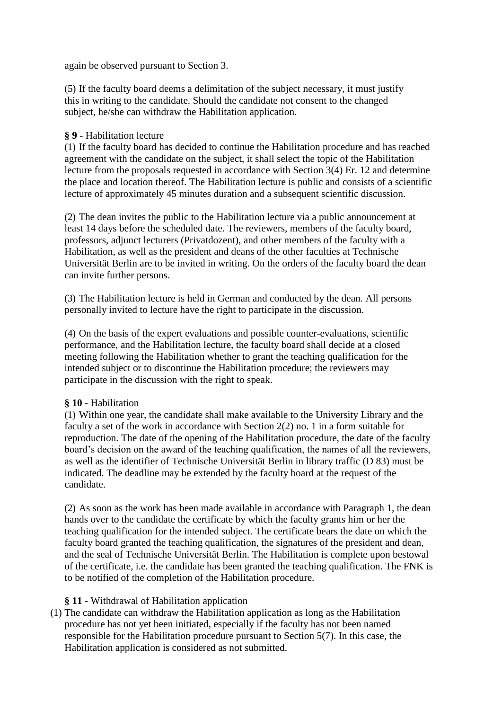again be observed pursuant to Section 3.

(5) If the faculty board deems a delimitation of the subject necessary, it must justify this in writing to the candidate. Should the candidate not consent to the changed subject, he/she can withdraw the Habilitation application.

#### **§ 9** - Habilitation lecture

(1) If the faculty board has decided to continue the Habilitation procedure and has reached agreement with the candidate on the subject, it shall select the topic of the Habilitation lecture from the proposals requested in accordance with Section 3(4) Er. 12 and determine the place and location thereof. The Habilitation lecture is public and consists of a scientific lecture of approximately 45 minutes duration and a subsequent scientific discussion.

(2) The dean invites the public to the Habilitation lecture via a public announcement at least 14 days before the scheduled date. The reviewers, members of the faculty board, professors, adjunct lecturers (Privatdozent), and other members of the faculty with a Habilitation, as well as the president and deans of the other faculties at Technische Universität Berlin are to be invited in writing. On the orders of the faculty board the dean can invite further persons.

(3) The Habilitation lecture is held in German and conducted by the dean. All persons personally invited to lecture have the right to participate in the discussion.

(4) On the basis of the expert evaluations and possible counter-evaluations, scientific performance, and the Habilitation lecture, the faculty board shall decide at a closed meeting following the Habilitation whether to grant the teaching qualification for the intended subject or to discontinue the Habilitation procedure; the reviewers may participate in the discussion with the right to speak.

## **§ 10** - Habilitation

(1) Within one year, the candidate shall make available to the University Library and the faculty a set of the work in accordance with Section 2(2) no. 1 in a form suitable for reproduction. The date of the opening of the Habilitation procedure, the date of the faculty board's decision on the award of the teaching qualification, the names of all the reviewers, as well as the identifier of Technische Universität Berlin in library traffic (D 83) must be indicated. The deadline may be extended by the faculty board at the request of the candidate.

(2) As soon as the work has been made available in accordance with Paragraph 1, the dean hands over to the candidate the certificate by which the faculty grants him or her the teaching qualification for the intended subject. The certificate bears the date on which the faculty board granted the teaching qualification, the signatures of the president and dean, and the seal of Technische Universität Berlin. The Habilitation is complete upon bestowal of the certificate, i.e. the candidate has been granted the teaching qualification. The FNK is to be notified of the completion of the Habilitation procedure.

## **§ 11** - Withdrawal of Habilitation application

(1) The candidate can withdraw the Habilitation application as long as the Habilitation procedure has not yet been initiated, especially if the faculty has not been named responsible for the Habilitation procedure pursuant to Section 5(7). In this case, the Habilitation application is considered as not submitted.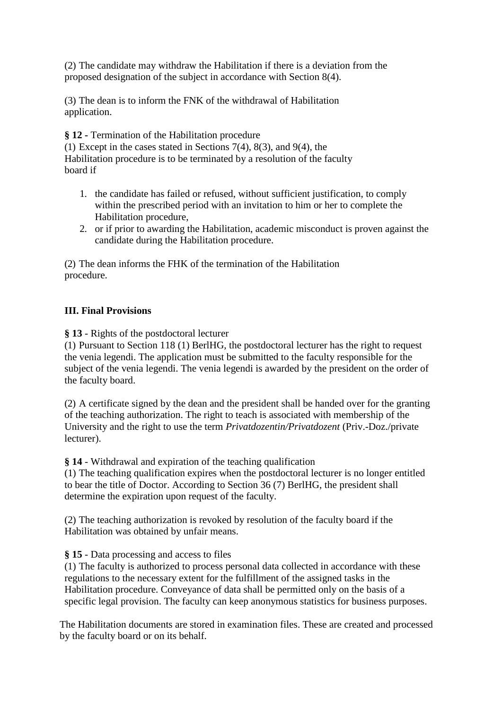(2) The candidate may withdraw the Habilitation if there is a deviation from the proposed designation of the subject in accordance with Section 8(4).

(3) The dean is to inform the FNK of the withdrawal of Habilitation application.

**§ 12 -** Termination of the Habilitation procedure

(1) Except in the cases stated in Sections 7(4), 8(3), and 9(4), the Habilitation procedure is to be terminated by a resolution of the faculty board if

- 1. the candidate has failed or refused, without sufficient justification, to comply within the prescribed period with an invitation to him or her to complete the Habilitation procedure,
- 2. or if prior to awarding the Habilitation, academic misconduct is proven against the candidate during the Habilitation procedure.

(2) The dean informs the FHK of the termination of the Habilitation procedure.

## **III. Final Provisions**

**§ 13** - Rights of the postdoctoral lecturer

(1) Pursuant to Section 118 (1) BerlHG, the postdoctoral lecturer has the right to request the venia legendi. The application must be submitted to the faculty responsible for the subject of the venia legendi. The venia legendi is awarded by the president on the order of the faculty board.

(2) A certificate signed by the dean and the president shall be handed over for the granting of the teaching authorization. The right to teach is associated with membership of the University and the right to use the term *Privatdozentin/Privatdozent* (Priv.-Doz./private lecturer).

**§ 14** - Withdrawal and expiration of the teaching qualification

(1) The teaching qualification expires when the postdoctoral lecturer is no longer entitled to bear the title of Doctor. According to Section 36 (7) BerlHG, the president shall determine the expiration upon request of the faculty.

(2) The teaching authorization is revoked by resolution of the faculty board if the Habilitation was obtained by unfair means.

## **§ 15** - Data processing and access to files

(1) The faculty is authorized to process personal data collected in accordance with these regulations to the necessary extent for the fulfillment of the assigned tasks in the Habilitation procedure. Conveyance of data shall be permitted only on the basis of a specific legal provision. The faculty can keep anonymous statistics for business purposes.

The Habilitation documents are stored in examination files. These are created and processed by the faculty board or on its behalf.